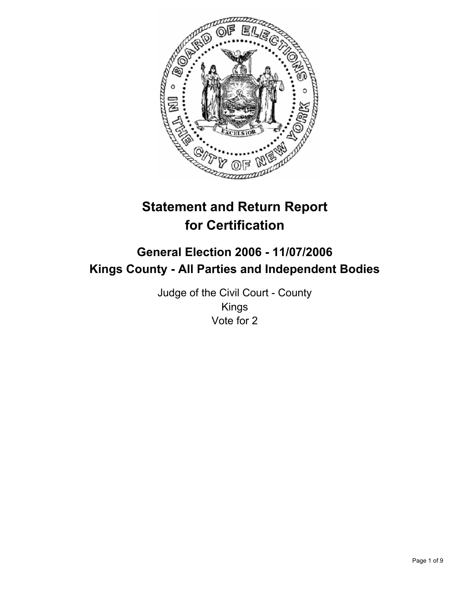

# **Statement and Return Report for Certification**

## **General Election 2006 - 11/07/2006 Kings County - All Parties and Independent Bodies**

Judge of the Civil Court - County Kings Vote for 2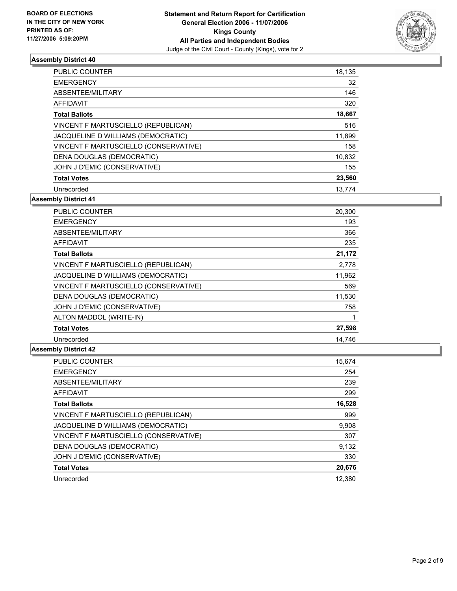

| <b>PUBLIC COUNTER</b>                 | 18,135 |
|---------------------------------------|--------|
| <b>EMERGENCY</b>                      | 32     |
| ABSENTEE/MILITARY                     | 146    |
| AFFIDAVIT                             | 320    |
| <b>Total Ballots</b>                  | 18,667 |
| VINCENT F MARTUSCIELLO (REPUBLICAN)   | 516    |
| JACQUELINE D WILLIAMS (DEMOCRATIC)    | 11,899 |
| VINCENT F MARTUSCIELLO (CONSERVATIVE) | 158    |
| DENA DOUGLAS (DEMOCRATIC)             | 10,832 |
| JOHN J D'EMIC (CONSERVATIVE)          | 155    |
| <b>Total Votes</b>                    | 23,560 |
| Unrecorded                            | 13.774 |

**Assembly District 41**

| <b>PUBLIC COUNTER</b>                 | 20,300 |  |
|---------------------------------------|--------|--|
| <b>EMERGENCY</b>                      | 193    |  |
| ABSENTEE/MILITARY                     | 366    |  |
| AFFIDAVIT                             | 235    |  |
| <b>Total Ballots</b>                  | 21,172 |  |
| VINCENT F MARTUSCIELLO (REPUBLICAN)   | 2,778  |  |
| JACQUELINE D WILLIAMS (DEMOCRATIC)    | 11,962 |  |
| VINCENT F MARTUSCIELLO (CONSERVATIVE) | 569    |  |
| DENA DOUGLAS (DEMOCRATIC)             | 11,530 |  |
| JOHN J D'EMIC (CONSERVATIVE)          | 758    |  |
| ALTON MADDOL (WRITE-IN)               |        |  |
| <b>Total Votes</b>                    | 27,598 |  |
| Unrecorded                            | 14.746 |  |

| PUBLIC COUNTER                        | 15,674 |
|---------------------------------------|--------|
| <b>EMERGENCY</b>                      | 254    |
| ABSENTEE/MILITARY                     | 239    |
| <b>AFFIDAVIT</b>                      | 299    |
| <b>Total Ballots</b>                  | 16,528 |
| VINCENT F MARTUSCIELLO (REPUBLICAN)   | 999    |
| JACQUELINE D WILLIAMS (DEMOCRATIC)    | 9,908  |
| VINCENT F MARTUSCIELLO (CONSERVATIVE) | 307    |
| DENA DOUGLAS (DEMOCRATIC)             | 9,132  |
| JOHN J D'EMIC (CONSERVATIVE)          | 330    |
| <b>Total Votes</b>                    | 20,676 |
| Unrecorded                            | 12.380 |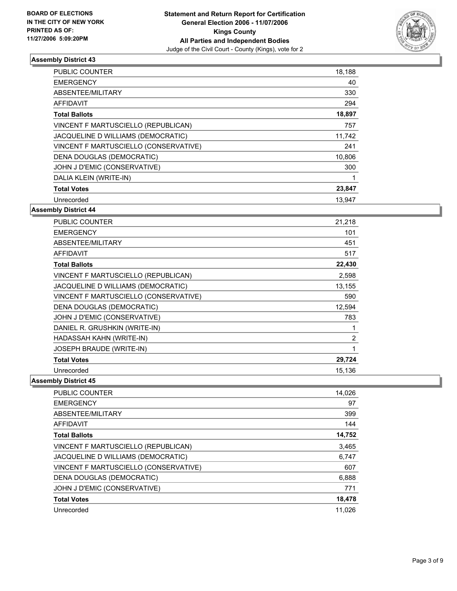

| <b>PUBLIC COUNTER</b>                 | 18,188 |  |
|---------------------------------------|--------|--|
| <b>EMERGENCY</b>                      | 40     |  |
| ABSENTEE/MILITARY                     | 330    |  |
| AFFIDAVIT                             | 294    |  |
| <b>Total Ballots</b>                  | 18,897 |  |
| VINCENT F MARTUSCIELLO (REPUBLICAN)   | 757    |  |
| JACQUELINE D WILLIAMS (DEMOCRATIC)    | 11,742 |  |
| VINCENT F MARTUSCIELLO (CONSERVATIVE) | 241    |  |
| DENA DOUGLAS (DEMOCRATIC)             | 10,806 |  |
| JOHN J D'EMIC (CONSERVATIVE)          | 300    |  |
| DALIA KLEIN (WRITE-IN)                |        |  |
| <b>Total Votes</b>                    | 23,847 |  |
| Unrecorded                            | 13.947 |  |

**Assembly District 44**

| <b>PUBLIC COUNTER</b>                 | 21,218 |
|---------------------------------------|--------|
| <b>EMERGENCY</b>                      | 101    |
| ABSENTEE/MILITARY                     | 451    |
| AFFIDAVIT                             | 517    |
| <b>Total Ballots</b>                  | 22,430 |
| VINCENT F MARTUSCIELLO (REPUBLICAN)   | 2,598  |
| JACQUELINE D WILLIAMS (DEMOCRATIC)    | 13,155 |
| VINCENT F MARTUSCIELLO (CONSERVATIVE) | 590    |
| DENA DOUGLAS (DEMOCRATIC)             | 12,594 |
| JOHN J D'EMIC (CONSERVATIVE)          | 783    |
| DANIEL R. GRUSHKIN (WRITE-IN)         |        |
| HADASSAH KAHN (WRITE-IN)              | 2      |
| JOSEPH BRAUDE (WRITE-IN)              |        |
| <b>Total Votes</b>                    | 29,724 |
| Unrecorded                            | 15,136 |

| <b>PUBLIC COUNTER</b>                 | 14,026 |
|---------------------------------------|--------|
| <b>EMERGENCY</b>                      | 97     |
| ABSENTEE/MILITARY                     | 399    |
| AFFIDAVIT                             | 144    |
| <b>Total Ballots</b>                  | 14,752 |
| VINCENT F MARTUSCIELLO (REPUBLICAN)   | 3,465  |
| JACQUELINE D WILLIAMS (DEMOCRATIC)    | 6,747  |
| VINCENT F MARTUSCIELLO (CONSERVATIVE) | 607    |
| DENA DOUGLAS (DEMOCRATIC)             | 6,888  |
| JOHN J D'EMIC (CONSERVATIVE)          | 771    |
| <b>Total Votes</b>                    | 18,478 |
| Unrecorded                            | 11,026 |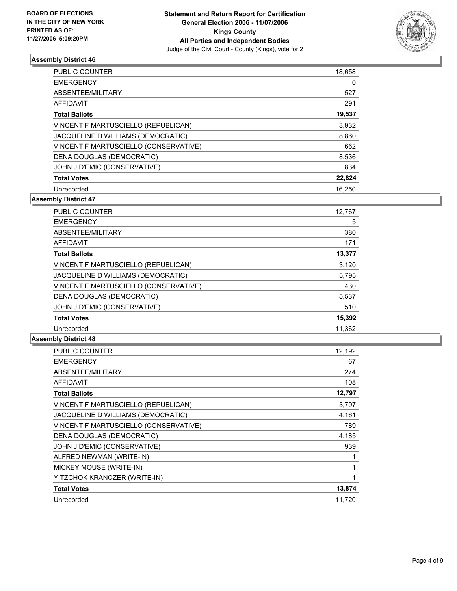

| PUBLIC COUNTER                        | 18,658 |
|---------------------------------------|--------|
| <b>EMERGENCY</b>                      | 0      |
| ABSENTEE/MILITARY                     | 527    |
| <b>AFFIDAVIT</b>                      | 291    |
| <b>Total Ballots</b>                  | 19,537 |
| VINCENT F MARTUSCIELLO (REPUBLICAN)   | 3,932  |
| JACQUELINE D WILLIAMS (DEMOCRATIC)    | 8,860  |
| VINCENT F MARTUSCIELLO (CONSERVATIVE) | 662    |
| DENA DOUGLAS (DEMOCRATIC)             | 8,536  |
| JOHN J D'EMIC (CONSERVATIVE)          | 834    |
| <b>Total Votes</b>                    | 22,824 |
| Unrecorded                            | 16.250 |

**Assembly District 47**

| <b>PUBLIC COUNTER</b>                 | 12,767 |
|---------------------------------------|--------|
| <b>EMERGENCY</b>                      | 5      |
| ABSENTEE/MILITARY                     | 380    |
| <b>AFFIDAVIT</b>                      | 171    |
| <b>Total Ballots</b>                  | 13,377 |
| VINCENT F MARTUSCIELLO (REPUBLICAN)   | 3,120  |
| JACQUELINE D WILLIAMS (DEMOCRATIC)    | 5,795  |
| VINCENT F MARTUSCIELLO (CONSERVATIVE) | 430    |
| DENA DOUGLAS (DEMOCRATIC)             | 5,537  |
| JOHN J D'EMIC (CONSERVATIVE)          | 510    |
| <b>Total Votes</b>                    | 15,392 |
| Unrecorded                            | 11.362 |

| PUBLIC COUNTER                        | 12,192 |
|---------------------------------------|--------|
| <b>EMERGENCY</b>                      | 67     |
| ABSENTEE/MILITARY                     | 274    |
| <b>AFFIDAVIT</b>                      | 108    |
| <b>Total Ballots</b>                  | 12,797 |
| VINCENT F MARTUSCIELLO (REPUBLICAN)   | 3,797  |
| JACQUELINE D WILLIAMS (DEMOCRATIC)    | 4,161  |
| VINCENT F MARTUSCIELLO (CONSERVATIVE) | 789    |
| DENA DOUGLAS (DEMOCRATIC)             | 4,185  |
| JOHN J D'EMIC (CONSERVATIVE)          | 939    |
| ALFRED NEWMAN (WRITE-IN)              |        |
| MICKEY MOUSE (WRITE-IN)               |        |
| YITZCHOK KRANCZER (WRITE-IN)          |        |
| <b>Total Votes</b>                    | 13,874 |
| Unrecorded                            | 11,720 |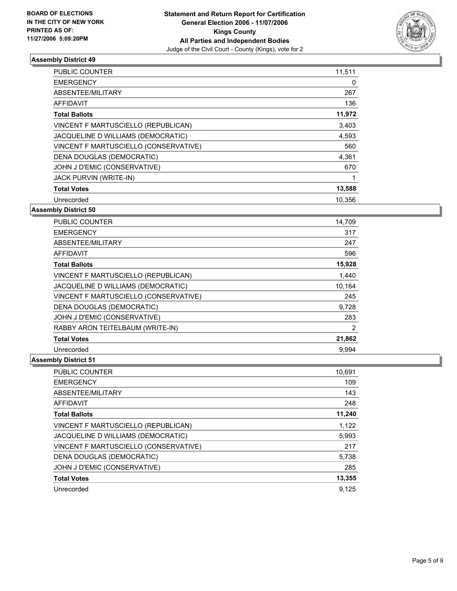

| <b>PUBLIC COUNTER</b>                 | 11,511 |
|---------------------------------------|--------|
| <b>EMERGENCY</b>                      | 0      |
| ABSENTEE/MILITARY                     | 267    |
| <b>AFFIDAVIT</b>                      | 136    |
| <b>Total Ballots</b>                  | 11,972 |
| VINCENT F MARTUSCIELLO (REPUBLICAN)   | 3,403  |
| JACQUELINE D WILLIAMS (DEMOCRATIC)    | 4,593  |
| VINCENT F MARTUSCIELLO (CONSERVATIVE) | 560    |
| DENA DOUGLAS (DEMOCRATIC)             | 4,361  |
| JOHN J D'EMIC (CONSERVATIVE)          | 670    |
| <b>JACK PURVIN (WRITE-IN)</b>         |        |
| <b>Total Votes</b>                    | 13,588 |
| Unrecorded                            | 10.356 |

#### **Assembly District 50**

| <b>PUBLIC COUNTER</b>                 | 14,709 |  |
|---------------------------------------|--------|--|
| <b>EMERGENCY</b>                      | 317    |  |
| ABSENTEE/MILITARY                     | 247    |  |
| AFFIDAVIT                             | 596    |  |
| <b>Total Ballots</b>                  | 15,928 |  |
| VINCENT F MARTUSCIELLO (REPUBLICAN)   | 1,440  |  |
| JACQUELINE D WILLIAMS (DEMOCRATIC)    | 10,164 |  |
| VINCENT F MARTUSCIELLO (CONSERVATIVE) | 245    |  |
| DENA DOUGLAS (DEMOCRATIC)             | 9,728  |  |
| JOHN J D'EMIC (CONSERVATIVE)          | 283    |  |
| RABBY ARON TEITELBAUM (WRITE-IN)      | 2      |  |
| <b>Total Votes</b>                    | 21,862 |  |
| Unrecorded                            | 9.994  |  |

| <b>PUBLIC COUNTER</b>                 | 10,691 |
|---------------------------------------|--------|
| <b>EMERGENCY</b>                      | 109    |
| ABSENTEE/MILITARY                     | 143    |
| AFFIDAVIT                             | 248    |
| <b>Total Ballots</b>                  | 11,240 |
| VINCENT F MARTUSCIELLO (REPUBLICAN)   | 1,122  |
| JACQUELINE D WILLIAMS (DEMOCRATIC)    | 5,993  |
| VINCENT F MARTUSCIELLO (CONSERVATIVE) | 217    |
| DENA DOUGLAS (DEMOCRATIC)             | 5,738  |
| JOHN J D'EMIC (CONSERVATIVE)          | 285    |
| <b>Total Votes</b>                    | 13,355 |
| Unrecorded                            | 9.125  |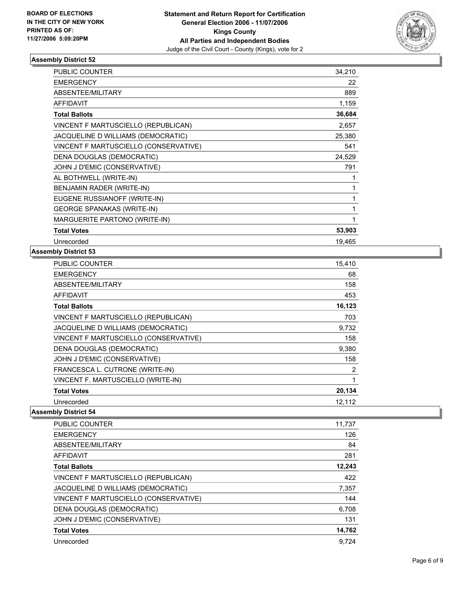

| PUBLIC COUNTER                        | 34,210 |  |
|---------------------------------------|--------|--|
| <b>EMERGENCY</b>                      | 22     |  |
| ABSENTEE/MILITARY                     | 889    |  |
| <b>AFFIDAVIT</b>                      | 1,159  |  |
| <b>Total Ballots</b>                  | 36,684 |  |
| VINCENT F MARTUSCIELLO (REPUBLICAN)   | 2,657  |  |
| JACQUELINE D WILLIAMS (DEMOCRATIC)    | 25,380 |  |
| VINCENT F MARTUSCIELLO (CONSERVATIVE) | 541    |  |
| DENA DOUGLAS (DEMOCRATIC)             | 24,529 |  |
| JOHN J D'EMIC (CONSERVATIVE)          | 791    |  |
| AL BOTHWELL (WRITE-IN)                |        |  |
| BENJAMIN RADER (WRITE-IN)             |        |  |
| EUGENE RUSSIANOFF (WRITE-IN)          |        |  |
| <b>GEORGE SPANAKAS (WRITE-IN)</b>     |        |  |
| MARGUERITE PARTONO (WRITE-IN)         |        |  |
| <b>Total Votes</b>                    | 53,903 |  |
| Unrecorded                            | 19,465 |  |

#### **Assembly District 53**

| PUBLIC COUNTER                        | 15,410 |
|---------------------------------------|--------|
| <b>EMERGENCY</b>                      | 68     |
| ABSENTEE/MILITARY                     | 158    |
| AFFIDAVIT                             | 453    |
| <b>Total Ballots</b>                  | 16,123 |
| VINCENT F MARTUSCIELLO (REPUBLICAN)   | 703    |
| JACQUELINE D WILLIAMS (DEMOCRATIC)    | 9,732  |
| VINCENT F MARTUSCIELLO (CONSERVATIVE) | 158    |
| DENA DOUGLAS (DEMOCRATIC)             | 9,380  |
| JOHN J D'EMIC (CONSERVATIVE)          | 158    |
| FRANCESCA L. CUTRONE (WRITE-IN)       | 2      |
| VINCENT F. MARTUSCIELLO (WRITE-IN)    |        |
| <b>Total Votes</b>                    | 20,134 |
| Unrecorded                            | 12,112 |

| PUBLIC COUNTER                        | 11,737 |
|---------------------------------------|--------|
| <b>EMERGENCY</b>                      | 126    |
| ABSENTEE/MILITARY                     | 84     |
| AFFIDAVIT                             | 281    |
| <b>Total Ballots</b>                  | 12,243 |
| VINCENT F MARTUSCIELLO (REPUBLICAN)   | 422    |
| JACQUELINE D WILLIAMS (DEMOCRATIC)    | 7,357  |
| VINCENT F MARTUSCIELLO (CONSERVATIVE) | 144    |
| DENA DOUGLAS (DEMOCRATIC)             | 6,708  |
| JOHN J D'EMIC (CONSERVATIVE)          | 131    |
| <b>Total Votes</b>                    | 14,762 |
| Unrecorded                            | 9.724  |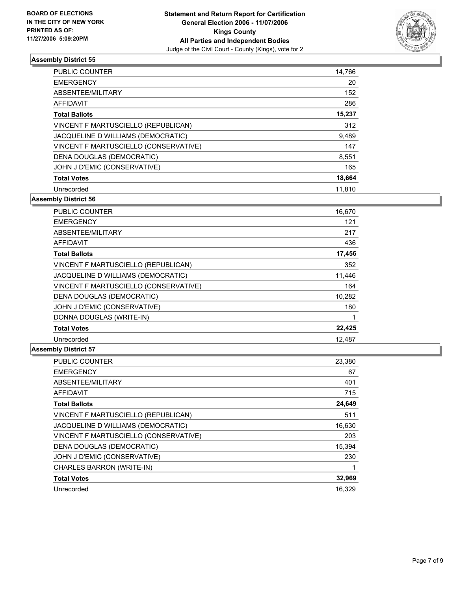

| <b>PUBLIC COUNTER</b>                 | 14,766 |
|---------------------------------------|--------|
| <b>EMERGENCY</b>                      | 20     |
| ABSENTEE/MILITARY                     | 152    |
| AFFIDAVIT                             | 286    |
| <b>Total Ballots</b>                  | 15,237 |
| VINCENT F MARTUSCIELLO (REPUBLICAN)   | 312    |
| JACQUELINE D WILLIAMS (DEMOCRATIC)    | 9,489  |
| VINCENT F MARTUSCIELLO (CONSERVATIVE) | 147    |
| DENA DOUGLAS (DEMOCRATIC)             | 8,551  |
| JOHN J D'EMIC (CONSERVATIVE)          | 165    |
| <b>Total Votes</b>                    | 18,664 |
| Unrecorded                            | 11.810 |

**Assembly District 56**

| <b>PUBLIC COUNTER</b>                 | 16,670 |
|---------------------------------------|--------|
| <b>EMERGENCY</b>                      | 121    |
| ABSENTEE/MILITARY                     | 217    |
| AFFIDAVIT                             | 436    |
| <b>Total Ballots</b>                  | 17,456 |
| VINCENT F MARTUSCIELLO (REPUBLICAN)   | 352    |
| JACQUELINE D WILLIAMS (DEMOCRATIC)    | 11,446 |
| VINCENT F MARTUSCIELLO (CONSERVATIVE) | 164    |
| DENA DOUGLAS (DEMOCRATIC)             | 10,282 |
| JOHN J D'EMIC (CONSERVATIVE)          | 180    |
| DONNA DOUGLAS (WRITE-IN)              |        |
| <b>Total Votes</b>                    | 22,425 |
| Unrecorded                            | 12.487 |

| PUBLIC COUNTER                        | 23,380 |
|---------------------------------------|--------|
| <b>EMERGENCY</b>                      | 67     |
| ABSENTEE/MILITARY                     | 401    |
| <b>AFFIDAVIT</b>                      | 715    |
| <b>Total Ballots</b>                  | 24,649 |
| VINCENT F MARTUSCIELLO (REPUBLICAN)   | 511    |
| JACQUELINE D WILLIAMS (DEMOCRATIC)    | 16,630 |
| VINCENT F MARTUSCIELLO (CONSERVATIVE) | 203    |
| DENA DOUGLAS (DEMOCRATIC)             | 15,394 |
| JOHN J D'EMIC (CONSERVATIVE)          | 230    |
| CHARLES BARRON (WRITE-IN)             |        |
| <b>Total Votes</b>                    | 32,969 |
| Unrecorded                            | 16.329 |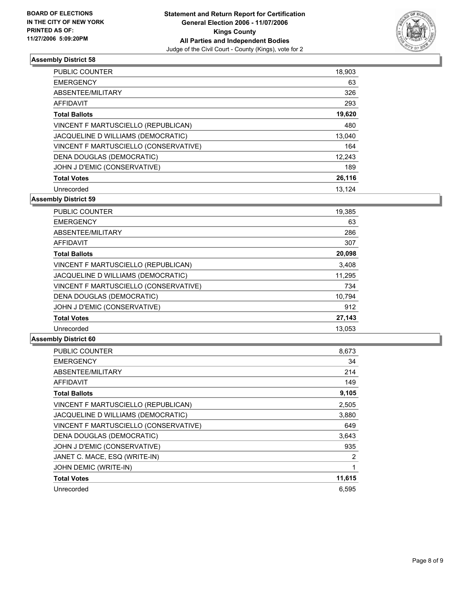

| <b>PUBLIC COUNTER</b>                 | 18,903 |
|---------------------------------------|--------|
| <b>EMERGENCY</b>                      | 63     |
| ABSENTEE/MILITARY                     | 326    |
| AFFIDAVIT                             | 293    |
| <b>Total Ballots</b>                  | 19,620 |
| VINCENT F MARTUSCIELLO (REPUBLICAN)   | 480    |
| JACQUELINE D WILLIAMS (DEMOCRATIC)    | 13,040 |
| VINCENT F MARTUSCIELLO (CONSERVATIVE) | 164    |
| DENA DOUGLAS (DEMOCRATIC)             | 12,243 |
| JOHN J D'EMIC (CONSERVATIVE)          | 189    |
| <b>Total Votes</b>                    | 26,116 |
| Unrecorded                            | 13.124 |

**Assembly District 59**

| PUBLIC COUNTER                        | 19,385 |
|---------------------------------------|--------|
| <b>EMERGENCY</b>                      | 63     |
| ABSENTEE/MILITARY                     | 286    |
| <b>AFFIDAVIT</b>                      | 307    |
| <b>Total Ballots</b>                  | 20,098 |
| VINCENT F MARTUSCIELLO (REPUBLICAN)   | 3,408  |
| JACQUELINE D WILLIAMS (DEMOCRATIC)    | 11,295 |
| VINCENT F MARTUSCIELLO (CONSERVATIVE) | 734    |
| DENA DOUGLAS (DEMOCRATIC)             | 10.794 |
| JOHN J D'EMIC (CONSERVATIVE)          | 912    |
| <b>Total Votes</b>                    | 27,143 |
| Unrecorded                            | 13.053 |

| <b>PUBLIC COUNTER</b>                 | 8,673  |
|---------------------------------------|--------|
| <b>EMERGENCY</b>                      | 34     |
| ABSENTEE/MILITARY                     | 214    |
| <b>AFFIDAVIT</b>                      | 149    |
| <b>Total Ballots</b>                  | 9,105  |
| VINCENT F MARTUSCIELLO (REPUBLICAN)   | 2,505  |
| JACQUELINE D WILLIAMS (DEMOCRATIC)    | 3,880  |
| VINCENT F MARTUSCIELLO (CONSERVATIVE) | 649    |
| DENA DOUGLAS (DEMOCRATIC)             | 3,643  |
| JOHN J D'EMIC (CONSERVATIVE)          | 935    |
| JANET C. MACE, ESQ (WRITE-IN)         | 2      |
| JOHN DEMIC (WRITE-IN)                 |        |
| <b>Total Votes</b>                    | 11,615 |
| Unrecorded                            | 6.595  |
|                                       |        |